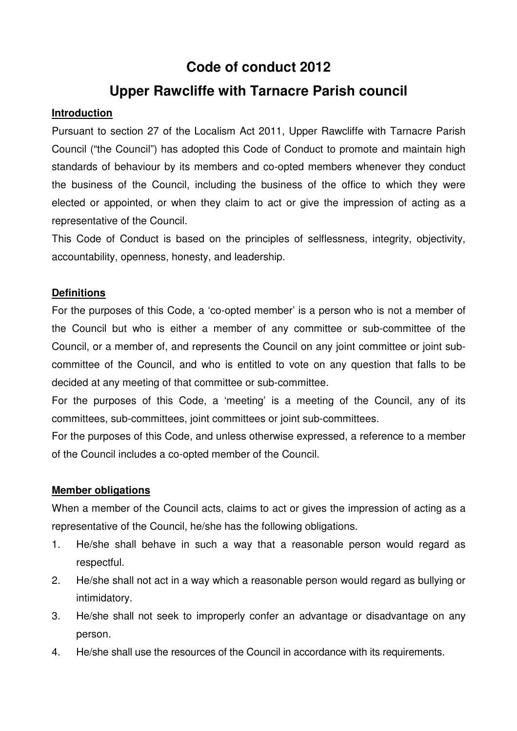# **Code of conduct 2012**

## **Upper Rawcliffe with Tarnacre Parish council**

#### **Introduction**

Pursuant to section 27 of the Localism Act 2011, Upper Rawcliffe with Tarnacre Parish Council ("the Council") has adopted this Code of Conduct to promote and maintain high standards of behaviour by its members and co-opted members whenever they conduct the business of the Council, including the business of the office to which they were elected or appointed, or when they claim to act or give the impression of acting as a representative of the Council.

This Code of Conduct is based on the principles of selflessness, integrity, objectivity, accountability, openness, honesty, and leadership.

### **Definitions**

For the purposes of this Code, a 'co-opted member' is a person who is not a member of the Council but who is either a member of any committee or sub-committee of the Council, or a member of, and represents the Council on any joint committee or joint subcommittee of the Council, and who is entitled to vote on any question that falls to be decided at any meeting of that committee or sub-committee.

For the purposes of this Code, a 'meeting' is a meeting of the Council, any of its committees, sub-committees, joint committees or joint sub-committees.

For the purposes of this Code, and unless otherwise expressed, a reference to a member of the Council includes a co-opted member of the Council.

#### **Member obligations**

When a member of the Council acts, claims to act or gives the impression of acting as a representative of the Council, he/she has the following obligations.

- 1. He/she shall behave in such a way that a reasonable person would regard as respectful.
- 2. He/she shall not act in a way which a reasonable person would regard as bullying or intimidatory.
- 3. He/she shall not seek to improperly confer an advantage or disadvantage on any person.
- 4. He/she shall use the resources of the Council in accordance with its requirements.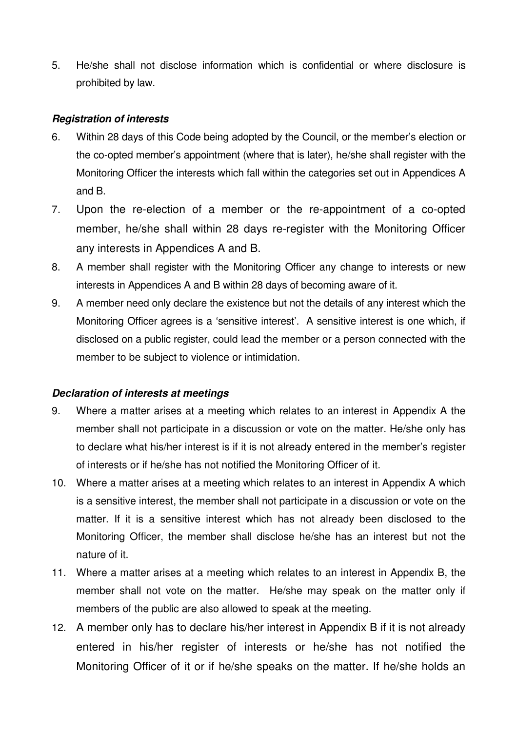5. He/she shall not disclose information which is confidential or where disclosure is prohibited by law.

#### **Registration of interests**

- 6. Within 28 days of this Code being adopted by the Council, or the member's election or the co-opted member's appointment (where that is later), he/she shall register with the Monitoring Officer the interests which fall within the categories set out in Appendices A and B.
- 7. Upon the re-election of a member or the re-appointment of a co-opted member, he/she shall within 28 days re-register with the Monitoring Officer any interests in Appendices A and B.
- 8. A member shall register with the Monitoring Officer any change to interests or new interests in Appendices A and B within 28 days of becoming aware of it.
- 9. A member need only declare the existence but not the details of any interest which the Monitoring Officer agrees is a 'sensitive interest'. A sensitive interest is one which, if disclosed on a public register, could lead the member or a person connected with the member to be subject to violence or intimidation.

#### **Declaration of interests at meetings**

- 9. Where a matter arises at a meeting which relates to an interest in Appendix A the member shall not participate in a discussion or vote on the matter. He/she only has to declare what his/her interest is if it is not already entered in the member's register of interests or if he/she has not notified the Monitoring Officer of it.
- 10. Where a matter arises at a meeting which relates to an interest in Appendix A which is a sensitive interest, the member shall not participate in a discussion or vote on the matter. If it is a sensitive interest which has not already been disclosed to the Monitoring Officer, the member shall disclose he/she has an interest but not the nature of it.
- 11. Where a matter arises at a meeting which relates to an interest in Appendix B, the member shall not vote on the matter. He/she may speak on the matter only if members of the public are also allowed to speak at the meeting.
- 12. A member only has to declare his/her interest in Appendix B if it is not already entered in his/her register of interests or he/she has not notified the Monitoring Officer of it or if he/she speaks on the matter. If he/she holds an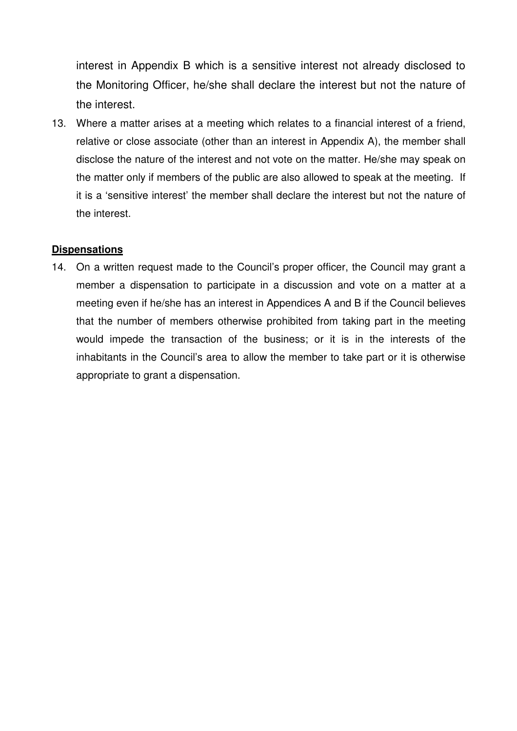interest in Appendix B which is a sensitive interest not already disclosed to the Monitoring Officer, he/she shall declare the interest but not the nature of the interest.

13. Where a matter arises at a meeting which relates to a financial interest of a friend, relative or close associate (other than an interest in Appendix A), the member shall disclose the nature of the interest and not vote on the matter. He/she may speak on the matter only if members of the public are also allowed to speak at the meeting. If it is a 'sensitive interest' the member shall declare the interest but not the nature of the interest.

#### **Dispensations**

14. On a written request made to the Council's proper officer, the Council may grant a member a dispensation to participate in a discussion and vote on a matter at a meeting even if he/she has an interest in Appendices A and B if the Council believes that the number of members otherwise prohibited from taking part in the meeting would impede the transaction of the business; or it is in the interests of the inhabitants in the Council's area to allow the member to take part or it is otherwise appropriate to grant a dispensation.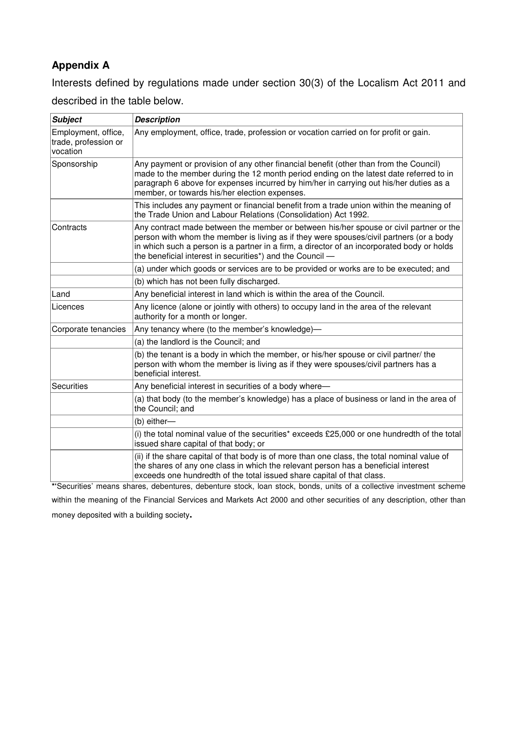### **Appendix A**

Interests defined by regulations made under section 30(3) of the Localism Act 2011 and described in the table below.

| <b>Subject</b>                                          | <b>Description</b>                                                                                                                                                                                                                                                                                                                           |
|---------------------------------------------------------|----------------------------------------------------------------------------------------------------------------------------------------------------------------------------------------------------------------------------------------------------------------------------------------------------------------------------------------------|
| Employment, office,<br>trade, profession or<br>vocation | Any employment, office, trade, profession or vocation carried on for profit or gain.                                                                                                                                                                                                                                                         |
| Sponsorship                                             | Any payment or provision of any other financial benefit (other than from the Council)<br>made to the member during the 12 month period ending on the latest date referred to in<br>paragraph 6 above for expenses incurred by him/her in carrying out his/her duties as a<br>member, or towards his/her election expenses.                   |
|                                                         | This includes any payment or financial benefit from a trade union within the meaning of<br>the Trade Union and Labour Relations (Consolidation) Act 1992.                                                                                                                                                                                    |
| Contracts                                               | Any contract made between the member or between his/her spouse or civil partner or the<br>person with whom the member is living as if they were spouses/civil partners (or a body<br>in which such a person is a partner in a firm, a director of an incorporated body or holds<br>the beneficial interest in securities*) and the Council - |
|                                                         | (a) under which goods or services are to be provided or works are to be executed; and                                                                                                                                                                                                                                                        |
|                                                         | (b) which has not been fully discharged.                                                                                                                                                                                                                                                                                                     |
| Land                                                    | Any beneficial interest in land which is within the area of the Council.                                                                                                                                                                                                                                                                     |
| Licences                                                | Any licence (alone or jointly with others) to occupy land in the area of the relevant<br>authority for a month or longer.                                                                                                                                                                                                                    |
| Corporate tenancies                                     | Any tenancy where (to the member's knowledge)-                                                                                                                                                                                                                                                                                               |
|                                                         | (a) the landlord is the Council; and                                                                                                                                                                                                                                                                                                         |
|                                                         | (b) the tenant is a body in which the member, or his/her spouse or civil partner/ the<br>person with whom the member is living as if they were spouses/civil partners has a<br>beneficial interest.                                                                                                                                          |
| <b>Securities</b>                                       | Any beneficial interest in securities of a body where-                                                                                                                                                                                                                                                                                       |
|                                                         | (a) that body (to the member's knowledge) has a place of business or land in the area of<br>the Council; and                                                                                                                                                                                                                                 |
|                                                         | (b) either-                                                                                                                                                                                                                                                                                                                                  |
|                                                         | (i) the total nominal value of the securities* exceeds £25,000 or one hundredth of the total<br>issued share capital of that body; or                                                                                                                                                                                                        |
|                                                         | (ii) if the share capital of that body is of more than one class, the total nominal value of<br>the shares of any one class in which the relevant person has a beneficial interest<br>exceeds one hundredth of the total issued share capital of that class.                                                                                 |
|                                                         | *'Securities' means shares, debentures, debenture stock, loan stock, bonds, units of a collective investment scheme                                                                                                                                                                                                                          |

within the meaning of the Financial Services and Markets Act 2000 and other securities of any description, other than money deposited with a building society**.**